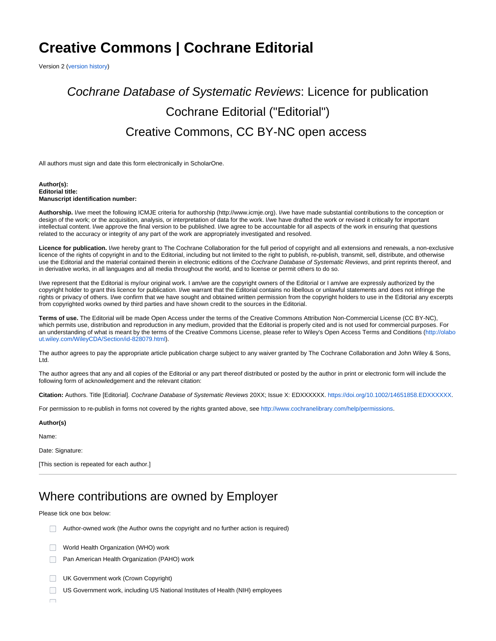## **Creative Commons | Cochrane Editorial**

Version 2 [\(version history\)](https://documentation.cochrane.org/display/EPPR/Version+histories#Versionhistories-CreativeCommons|CochraneEditorial)

# Cochrane Database of Systematic Reviews: Licence for publication Cochrane Editorial ("Editorial") Creative Commons, CC BY-NC open access

All authors must sign and date this form electronically in ScholarOne.

#### **Author(s): Editorial title: Manuscript identification number:**

**Authorship.** I/we meet the following ICMJE criteria for authorship [\(http://www.icmje.org\)](http://www.icmje.org/). I/we have made substantial contributions to the conception or design of the work; or the acquisition, analysis, or interpretation of data for the work. I/we have drafted the work or revised it critically for important intellectual content. I/we approve the final version to be published. I/we agree to be accountable for all aspects of the work in ensuring that questions related to the accuracy or integrity of any part of the work are appropriately investigated and resolved.

**Licence for publication.** I/we hereby grant to The Cochrane Collaboration for the full period of copyright and all extensions and renewals, a non-exclusive licence of the rights of copyright in and to the Editorial, including but not limited to the right to publish, re-publish, transmit, sell, distribute, and otherwise use the Editorial and the material contained therein in electronic editions of the Cochrane Database of Systematic Reviews, and print reprints thereof, and in derivative works, in all languages and all media throughout the world, and to license or permit others to do so.

I/we represent that the Editorial is my/our original work. I am/we are the copyright owners of the Editorial or I am/we are expressly authorized by the copyright holder to grant this licence for publication. I/we warrant that the Editorial contains no libellous or unlawful statements and does not infringe the rights or privacy of others. I/we confirm that we have sought and obtained written permission from the copyright holders to use in the Editorial any excerpts from copyrighted works owned by third parties and have shown credit to the sources in the Editorial.

**Terms of use.** The Editorial will be made Open Access under the terms of the Creative Commons Attribution Non-Commercial License (CC BY-NC), which permits use, distribution and reproduction in any medium, provided that the Editorial is properly cited and is not used for commercial purposes. For an understanding of what is meant by the terms of the Creative Commons License, please refer to Wiley's Open Access Terms and Conditions [\(http://olabo](http://olabout.wiley.com/WileyCDA/Section/id-828079.html) [ut.wiley.com/WileyCDA/Section/id-828079.html](http://olabout.wiley.com/WileyCDA/Section/id-828079.html)).

The author agrees to pay the appropriate article publication charge subject to any waiver granted by The Cochrane Collaboration and John Wiley & Sons, Ltd.

The author agrees that any and all copies of the Editorial or any part thereof distributed or posted by the author in print or electronic form will include the following form of acknowledgement and the relevant citation:

**Citation:** Authors. Title [Editorial]. Cochrane Database of Systematic Reviews 20XX; Issue X: EDXXXXXX. <https://doi.org/10.1002/14651858.EDXXXXXX>.

For permission to re-publish in forms not covered by the rights granted above, see<http://www.cochranelibrary.com/help/permissions>.

#### **Author(s)**

Name:

Date: Signature:

[This section is repeated for each author.]

## Where contributions are owned by Employer

Please tick one box below:

Author-owned work (the Author owns the copyright and no further action is required)

- World Health Organization (WHO) work n.
- **Pan American Health Organization (PAHO) work**
- UK Government work (Crown Copyright)
- $\Box$ US Government work, including US National Institutes of Health (NIH) employees

 $\Box$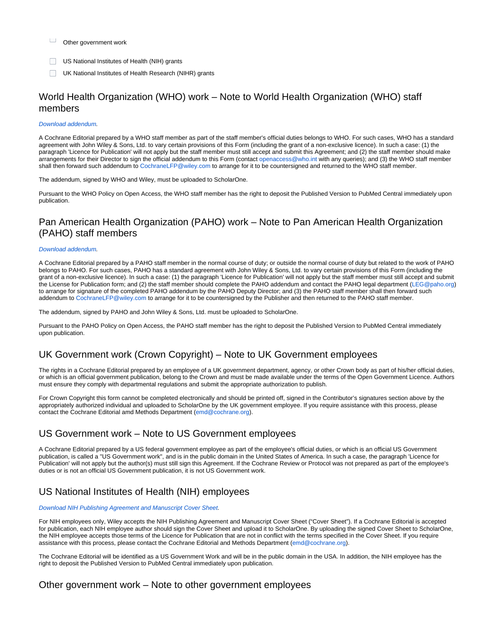- $\Box$ Other government work
- **US National Institutes of Health (NIH) grants**
- UK National Institutes of Health Research (NIHR) grants

### World Health Organization (WHO) work – Note to World Health Organization (WHO) staff members

#### [Download addendum.](https://documentation.cochrane.org/display/EPPR/WHO+addendum+%7C+Creative+Commons+licences+%7C+Protocol+or+Review)

A Cochrane Editorial prepared by a WHO staff member as part of the staff member's official duties belongs to WHO. For such cases, WHO has a standard agreement with John Wiley & Sons, Ltd. to vary certain provisions of this Form (including the grant of a non-exclusive licence). In such a case: (1) the paragraph 'Licence for Publication' will not apply but the staff member must still accept and submit this Agreement; and (2) the staff member should make arrangements for their Director to sign the official addendum to this Form (contact [openaccess@who.int](mailto:openaccess@who.int) with any queries); and (3) the WHO staff member shall then forward such addendum to [CochraneLFP@wiley.com](mailto:CochraneLFP@wiley.com) to arrange for it to be countersigned and returned to the WHO staff member.

The addendum, signed by WHO and Wiley, must be uploaded to ScholarOne.

Pursuant to the WHO Policy on Open Access, the WHO staff member has the right to deposit the Published Version to PubMed Central immediately upon publication.

### Pan American Health Organization (PAHO) work – Note to Pan American Health Organization (PAHO) staff members

#### [Download addendum.](https://documentation.cochrane.org/display/EPPR/PAHO+addendum+%7C+Creative+Commons+licences+%7C+Protocol+or+Review)

A Cochrane Editorial prepared by a PAHO staff member in the normal course of duty; or outside the normal course of duty but related to the work of PAHO belongs to PAHO. For such cases, PAHO has a standard agreement with John Wiley & Sons, Ltd. to vary certain provisions of this Form (including the grant of a non-exclusive licence). In such a case: (1) the paragraph 'Licence for Publication' will not apply but the staff member must still accept and submit the License for Publication form; and (2) the staff member should complete the PAHO addendum and contact the PAHO legal department ([LEG@paho.org\)](mailto:LEG@paho.org) to arrange for signature of the completed PAHO addendum by the PAHO Deputy Director; and (3) the PAHO staff member shall then forward such addendum to [CochraneLFP@wiley.com](mailto:CochraneLFP@wiley.com) to arrange for it to be countersigned by the Publisher and then returned to the PAHO staff member.

The addendum, signed by PAHO and John Wiley & Sons, Ltd. must be uploaded to ScholarOne.

Pursuant to the PAHO Policy on Open Access, the PAHO staff member has the right to deposit the Published Version to PubMed Central immediately upon publication.

### UK Government work (Crown Copyright) – Note to UK Government employees

The rights in a Cochrane Editorial prepared by an employee of a UK government department, agency, or other Crown body as part of his/her official duties, or which is an official government publication, belong to the Crown and must be made available under the terms of the Open Government Licence. Authors must ensure they comply with departmental regulations and submit the appropriate authorization to publish.

For Crown Copyright this form cannot be completed electronically and should be printed off, signed in the Contributor's signatures section above by the appropriately authorized individual and uploaded to ScholarOne by the UK government employee. If you require assistance with this process, please contact the Cochrane Editorial amd Methods Department ([emd@cochrane.org\)](mailto:emd@cochrane.org).

### US Government work – Note to US Government employees

A Cochrane Editorial prepared by a US federal government employee as part of the employee's official duties, or which is an official US Government publication, is called a "US Government work", and is in the public domain in the United States of America. In such a case, the paragraph 'Licence for Publication' will not apply but the author(s) must still sign this Agreement. If the Cochrane Review or Protocol was not prepared as part of the employee's duties or is not an official US Government publication, it is not US Government work.

### US National Institutes of Health (NIH) employees

#### [Download NIH Publishing Agreement and Manuscript Cover Sheet.](https://community.cochrane.org/publicaccess.nih.gov/nih_employee_procedures.htm)

For NIH employees only, Wiley accepts the NIH Publishing Agreement and Manuscript Cover Sheet ("Cover Sheet"). If a Cochrane Editorial is accepted for publication, each NIH employee author should sign the Cover Sheet and upload it to ScholarOne. By uploading the signed Cover Sheet to ScholarOne, the NIH employee accepts those terms of the Licence for Publication that are not in conflict with the terms specified in the Cover Sheet. If you require assistance with this process, please contact the Cochrane Editorial and Methods Department [\(emd@cochrane.org](mailto:emd@cochrane.org)).

The Cochrane Editorial will be identified as a US Government Work and will be in the public domain in the USA. In addition, the NIH employee has the right to deposit the Published Version to PubMed Central immediately upon publication.

### Other government work – Note to other government employees